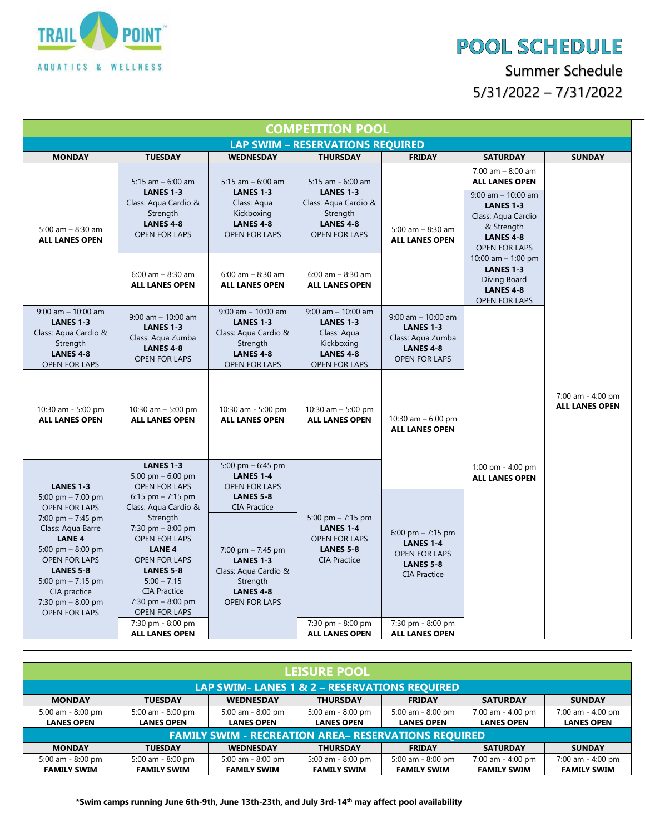

## **POOL SCHEDULE**

Summer Schedule 5/31/2022 – 7/31/2022

| <b>COMPETITION POOL</b>                                                                                                                                                                                                                                                            |                                                                                                                                                                                                                                                                |                                                                                                                                                                    |                                                                                                                       |                                                                                                            |                                                                                                                                                                             |                                            |  |  |  |  |  |
|------------------------------------------------------------------------------------------------------------------------------------------------------------------------------------------------------------------------------------------------------------------------------------|----------------------------------------------------------------------------------------------------------------------------------------------------------------------------------------------------------------------------------------------------------------|--------------------------------------------------------------------------------------------------------------------------------------------------------------------|-----------------------------------------------------------------------------------------------------------------------|------------------------------------------------------------------------------------------------------------|-----------------------------------------------------------------------------------------------------------------------------------------------------------------------------|--------------------------------------------|--|--|--|--|--|
| <b>LAP SWIM - RESERVATIONS REQUIRED</b>                                                                                                                                                                                                                                            |                                                                                                                                                                                                                                                                |                                                                                                                                                                    |                                                                                                                       |                                                                                                            |                                                                                                                                                                             |                                            |  |  |  |  |  |
| <b>MONDAY</b>                                                                                                                                                                                                                                                                      | <b>TUESDAY</b>                                                                                                                                                                                                                                                 | <b>WEDNESDAY</b>                                                                                                                                                   | <b>THURSDAY</b>                                                                                                       | <b>FRIDAY</b>                                                                                              | <b>SATURDAY</b>                                                                                                                                                             | <b>SUNDAY</b>                              |  |  |  |  |  |
| 5:00 am $-$ 8:30 am<br><b>ALL LANES OPEN</b>                                                                                                                                                                                                                                       | 5:15 am $-$ 6:00 am<br><b>LANES 1-3</b><br>Class: Aqua Cardio &<br>Strength<br><b>LANES 4-8</b><br><b>OPEN FOR LAPS</b>                                                                                                                                        | 5:15 am $-$ 6:00 am<br><b>LANES 1-3</b><br>Class: Aqua<br>Kickboxing<br><b>LANES 4-8</b><br><b>OPEN FOR LAPS</b>                                                   | 5:15 am - 6:00 am<br><b>LANES 1-3</b><br>Class: Aqua Cardio &<br>Strength<br><b>LANES 4-8</b><br><b>OPEN FOR LAPS</b> | 5:00 am $-$ 8:30 am<br><b>ALL LANES OPEN</b>                                                               | $7:00$ am $- 8:00$ am<br><b>ALL LANES OPEN</b><br>$9:00$ am $-10:00$ am<br><b>LANES 1-3</b><br>Class: Aqua Cardio<br>& Strength<br><b>LANES 4-8</b><br><b>OPEN FOR LAPS</b> |                                            |  |  |  |  |  |
|                                                                                                                                                                                                                                                                                    | $6:00$ am $- 8:30$ am<br><b>ALL LANES OPEN</b>                                                                                                                                                                                                                 | $6:00$ am $- 8:30$ am<br><b>ALL LANES OPEN</b>                                                                                                                     | $6:00$ am $- 8:30$ am<br><b>ALL LANES OPEN</b>                                                                        |                                                                                                            | 10:00 am $-$ 1:00 pm<br><b>LANES 1-3</b><br>Diving Board<br><b>LANES 4-8</b><br><b>OPEN FOR LAPS</b>                                                                        |                                            |  |  |  |  |  |
| $9:00$ am $-10:00$ am<br><b>LANES 1-3</b><br>Class: Aqua Cardio &<br>Strength<br><b>LANES 4-8</b><br><b>OPEN FOR LAPS</b>                                                                                                                                                          | $9:00$ am $-10:00$ am<br><b>LANES 1-3</b><br>Class: Aqua Zumba<br><b>LANES 4-8</b><br><b>OPEN FOR LAPS</b>                                                                                                                                                     | $9:00$ am $-10:00$ am<br><b>LANES 1-3</b><br>Class: Aqua Cardio &<br>Strength<br><b>LANES 4-8</b><br><b>OPEN FOR LAPS</b>                                          | $9:00$ am $-10:00$ am<br><b>LANES 1-3</b><br>Class: Aqua<br>Kickboxing<br><b>LANES 4-8</b><br><b>OPEN FOR LAPS</b>    | $9:00$ am $-10:00$ am<br><b>LANES 1-3</b><br>Class: Aqua Zumba<br><b>LANES 4-8</b><br><b>OPEN FOR LAPS</b> |                                                                                                                                                                             |                                            |  |  |  |  |  |
| 10:30 am - 5:00 pm<br><b>ALL LANES OPEN</b>                                                                                                                                                                                                                                        | 10:30 am $-$ 5:00 pm<br><b>ALL LANES OPEN</b>                                                                                                                                                                                                                  | 10:30 am - 5:00 pm<br><b>ALL LANES OPEN</b>                                                                                                                        | 10:30 am $-5:00$ pm<br><b>ALL LANES OPEN</b>                                                                          | 10:30 am $-6:00$ pm<br><b>ALL LANES OPEN</b>                                                               |                                                                                                                                                                             | 7:00 am - 4:00 pm<br><b>ALL LANES OPEN</b> |  |  |  |  |  |
| <b>LANES 1-3</b>                                                                                                                                                                                                                                                                   | <b>LANES 1-3</b><br>5:00 pm $-$ 6:00 pm<br><b>OPEN FOR LAPS</b>                                                                                                                                                                                                | 5:00 pm $-$ 6:45 pm<br><b>LANES 1-4</b><br><b>OPEN FOR LAPS</b>                                                                                                    |                                                                                                                       |                                                                                                            | 1:00 pm - $4:00$ pm<br><b>ALL LANES OPEN</b>                                                                                                                                |                                            |  |  |  |  |  |
| 5:00 pm $- 7:00$ pm<br><b>OPEN FOR LAPS</b><br>$7:00 \text{ pm} - 7:45 \text{ pm}$<br>Class: Aqua Barre<br><b>LANE 4</b><br>5:00 pm $-$ 8:00 pm<br><b>OPEN FOR LAPS</b><br><b>LANES 5-8</b><br>5:00 pm $- 7:15$ pm<br>CIA practice<br>$7:30$ pm $-8:00$ pm<br><b>OPEN FOR LAPS</b> | $6:15$ pm $- 7:15$ pm<br>Class: Aqua Cardio &<br>Strength<br>$7:30$ pm $-8:00$ pm<br><b>OPEN FOR LAPS</b><br><b>LANE 4</b><br><b>OPEN FOR LAPS</b><br><b>LANES 5-8</b><br>$5:00 - 7:15$<br><b>CIA Practice</b><br>$7:30$ pm $-8:00$ pm<br><b>OPEN FOR LAPS</b> | <b>LANES 5-8</b><br><b>CIA Practice</b><br>7:00 pm $-$ 7:45 pm<br><b>LANES 1-3</b><br>Class: Aqua Cardio &<br>Strength<br><b>LANES 4-8</b><br><b>OPEN FOR LAPS</b> | 5:00 pm $- 7:15$ pm<br><b>LANES 1-4</b><br><b>OPEN FOR LAPS</b><br><b>LANES 5-8</b><br><b>CIA Practice</b>            | 6:00 pm $- 7:15$ pm<br><b>LANES 1-4</b><br><b>OPEN FOR LAPS</b><br><b>LANES 5-8</b><br><b>CIA Practice</b> |                                                                                                                                                                             |                                            |  |  |  |  |  |
|                                                                                                                                                                                                                                                                                    | 7:30 pm - 8:00 pm<br><b>ALL LANES OPEN</b>                                                                                                                                                                                                                     |                                                                                                                                                                    | 7:30 pm - 8:00 pm<br><b>ALL LANES OPEN</b>                                                                            | 7:30 pm - 8:00 pm<br><b>ALL LANES OPEN</b>                                                                 |                                                                                                                                                                             |                                            |  |  |  |  |  |

| <b>LEISURE POOL</b>                                         |                    |                    |                    |                    |                    |                    |  |  |  |  |  |
|-------------------------------------------------------------|--------------------|--------------------|--------------------|--------------------|--------------------|--------------------|--|--|--|--|--|
| LAP SWIM- LANES 1 & 2 - RESERVATIONS REQUIRED               |                    |                    |                    |                    |                    |                    |  |  |  |  |  |
| <b>MONDAY</b>                                               | <b>TUESDAY</b>     | <b>WEDNESDAY</b>   | <b>THURSDAY</b>    | <b>FRIDAY</b>      | <b>SATURDAY</b>    | <b>SUNDAY</b>      |  |  |  |  |  |
| 5:00 am - 8:00 pm                                           | 5:00 am - 8:00 pm  | 5:00 am - 8:00 pm  | 5:00 am - 8:00 pm  | 5:00 am - 8:00 pm  | 7:00 am - 4:00 pm  | 7:00 am - 4:00 pm  |  |  |  |  |  |
| <b>LANES OPEN</b>                                           | <b>LANES OPEN</b>  | <b>LANES OPEN</b>  | <b>LANES OPEN</b>  | <b>LANES OPEN</b>  | <b>LANES OPEN</b>  | <b>LANES OPEN</b>  |  |  |  |  |  |
| <b>FAMILY SWIM - RECREATION AREA- RESERVATIONS REQUIRED</b> |                    |                    |                    |                    |                    |                    |  |  |  |  |  |
| <b>MONDAY</b>                                               | <b>TUESDAY</b>     | <b>WEDNESDAY</b>   | <b>THURSDAY</b>    | <b>FRIDAY</b>      | <b>SATURDAY</b>    | <b>SUNDAY</b>      |  |  |  |  |  |
| 5:00 am - 8:00 pm                                           | 5:00 am - 8:00 pm  | 5:00 am - 8:00 pm  | 5:00 am - 8:00 pm  | 5:00 am - 8:00 pm  | 7:00 am - 4:00 pm  | 7:00 am - 4:00 pm  |  |  |  |  |  |
| <b>FAMILY SWIM</b>                                          | <b>FAMILY SWIM</b> | <b>FAMILY SWIM</b> | <b>FAMILY SWIM</b> | <b>FAMILY SWIM</b> | <b>FAMILY SWIM</b> | <b>FAMILY SWIM</b> |  |  |  |  |  |

**\*Swim camps running June 6th-9th, June 13th-23th, and July 3rd-14th may affect pool availability**